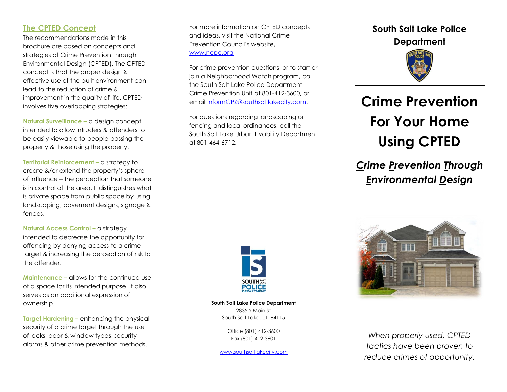# **The CPTED Concept**

The recommendations made in this brochure are based on concepts and strategies of Crime Prevention Through Environmental Design (CPTED). The CPTED concept is that the proper design & effective use of the built environment can lead to the reduction of crime & improvement in the quality of life. CPTED involves five overlapping strategies:

**Natural Surveillance –** a design concept intended to allow intruders & offenders to be easily viewable to people passing the property & those using the property.

**Territorial Reinforcement –** a strategy to create &/or extend the property's sphere of influence – the perception that someone is in control of the area. It distinguishes what is private space from public space by using landscaping, pavement designs, signage & fences.

**Natural Access Control – a strategy** intended to decrease the opportunity for offending by denying access to a crime target & increasing the perception of risk to the offender.

**Maintenance –** allows for the continued use of a space for its intended purpose. It also serves as an additional expression of ownership.

**Target Hardening –** enhancing the physical security of a crime target through the use of locks, door & window types, security alarms & other crime prevention methods.

For more information on CPTED concepts and ideas, visit the National Crime Prevention Council's website, [www.ncpc.org](http://www.ncpc.org/)

For crime prevention questions, or to start or join a Neighborhood Watch program, call the South Salt Lake Police Department Crime Prevention Unit at 801-412-3600, or emai[l InformCPZ@southsaltlakecity.com.](mailto:InformCPZ@southsaltlakecity.com)

For questions regarding landscaping or fencing and local ordinances, call the South Salt Lake Urban Livability Department at 801-464-6712.



**South Salt Lake Police Department** 2835 S Main St South Salt Lake, UT 84115

> Office (801) 412-3600 Fax (801) 412-3601

[www.southsaltlakecity.com](http://www.southsaltlakecity.com/)

# **South Salt Lake Police Department**



# **Crime Prevention For Your Home Using CPTED**

# *Crime Prevention Through Environmental Design*



*When properly used, CPTED tactics have been proven to reduce crimes of opportunity.*